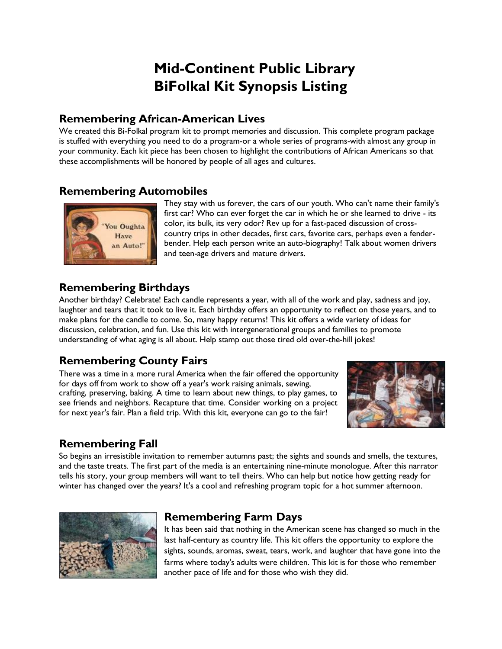# **Mid-Continent Public Library BiFolkal Kit Synopsis Listing**

#### **Remembering African-American Lives**

We created this Bi-Folkal program kit to prompt memories and discussion. This complete program package is stuffed with everything you need to do a program-or a whole series of programs-with almost any group in your community. Each kit piece has been chosen to highlight the contributions of African Americans so that these accomplishments will be honored by people of all ages and cultures.

## **Remembering Automobiles**



They stay with us forever, the cars of our youth. Who can't name their family's first car? Who can ever forget the car in which he or she learned to drive - its color, its bulk, its very odor? Rev up for a fast-paced discussion of crosscountry trips in other decades, first cars, favorite cars, perhaps even a fenderbender. Help each person write an auto-biography! Talk about women drivers and teen-age drivers and mature drivers.

## **Remembering Birthdays**

Another birthday? Celebrate! Each candle represents a year, with all of the work and play, sadness and joy, laughter and tears that it took to live it. Each birthday offers an opportunity to reflect on those years, and to make plans for the candle to come. So, many happy returns! This kit offers a wide variety of ideas for discussion, celebration, and fun. Use this kit with intergenerational groups and families to promote understanding of what aging is all about. Help stamp out those tired old over-the-hill jokes!

# **Remembering County Fairs**

There was a time in a more rural America when the fair offered the opportunity for days off from work to show off a year's work raising animals, sewing, crafting, preserving, baking. A time to learn about new things, to play games, to see friends and neighbors. Recapture that time. Consider working on a project for next year's fair. Plan a field trip. With this kit, everyone can go to the fair!



# **Remembering Fall**

So begins an irresistible invitation to remember autumns past; the sights and sounds and smells, the textures, and the taste treats. The first part of the media is an entertaining nine-minute monologue. After this narrator tells his story, your group members will want to tell theirs. Who can help but notice how getting ready for winter has changed over the years? It's a cool and refreshing program topic for a hot summer afternoon.



## **Remembering Farm Days**

It has been said that nothing in the American scene has changed so much in the last half-century as country life. This kit offers the opportunity to explore the sights, sounds, aromas, sweat, tears, work, and laughter that have gone into the farms where today's adults were children. This kit is for those who remember another pace of life and for those who wish they did.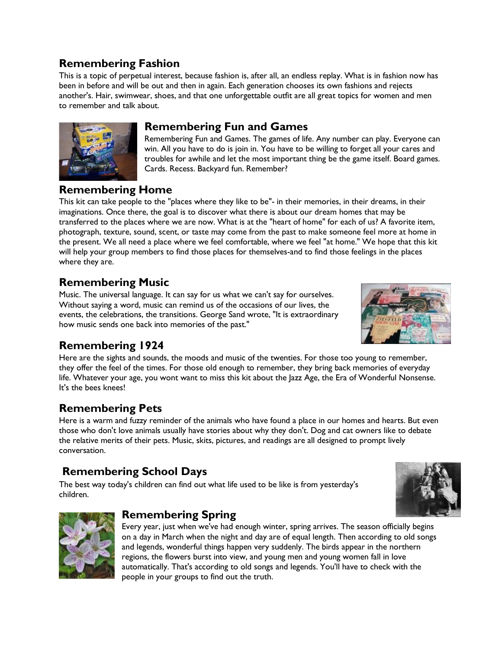## **Remembering Fashion**

This is a topic of perpetual interest, because fashion is, after all, an endless replay. What is in fashion now has been in before and will be out and then in again. Each generation chooses its own fashions and rejects another's. Hair, swimwear, shoes, and that one unforgettable outfit are all great topics for women and men to remember and talk about.

#### **Remembering Fun and Games**

Remembering Fun and Games. The games of life. Any number can play. Everyone can win. All you have to do is join in. You have to be willing to forget all your cares and troubles for awhile and let the most important thing be the game itself. Board games. Cards. Recess. Backyard fun. Remember?

#### **Remembering Home**

This kit can take people to the "places where they like to be"- in their memories, in their dreams, in their imaginations. Once there, the goal is to discover what there is about our dream homes that may be transferred to the places where we are now. What is at the "heart of home" for each of us? A favorite item, photograph, texture, sound, scent, or taste may come from the past to make someone feel more at home in the present. We all need a place where we feel comfortable, where we feel "at home." We hope that this kit will help your group members to find those places for themselves-and to find those feelings in the places where they are.

#### **Remembering Music**

Music. The universal language. It can say for us what we can't say for ourselves. Without saying a word, music can remind us of the occasions of our lives, the events, the celebrations, the transitions. George Sand wrote, "It is extraordinary how music sends one back into memories of the past."



## **Remembering 1924**

Here are the sights and sounds, the moods and music of the twenties. For those too young to remember, they offer the feel of the times. For those old enough to remember, they bring back memories of everyday life. Whatever your age, you wont want to miss this kit about the Jazz Age, the Era of Wonderful Nonsense. It's the bees knees!

## **Remembering Pets**

Here is a warm and fuzzy reminder of the animals who have found a place in our homes and hearts. But even those who don't love animals usually have stories about why they don't. Dog and cat owners like to debate the relative merits of their pets. Music, skits, pictures, and readings are all designed to prompt lively conversation.

# **Remembering School Days**

The best way today's children can find out what life used to be like is from yesterday's children.





## **Remembering Spring**

Every year, just when we've had enough winter, spring arrives. The season officially begins on a day in March when the night and day are of equal length. Then according to old songs and legends, wonderful things happen very suddenly. The birds appear in the northern regions, the flowers burst into view, and young men and young women fall in love automatically. That's according to old songs and legends. You'll have to check with the people in your groups to find out the truth.